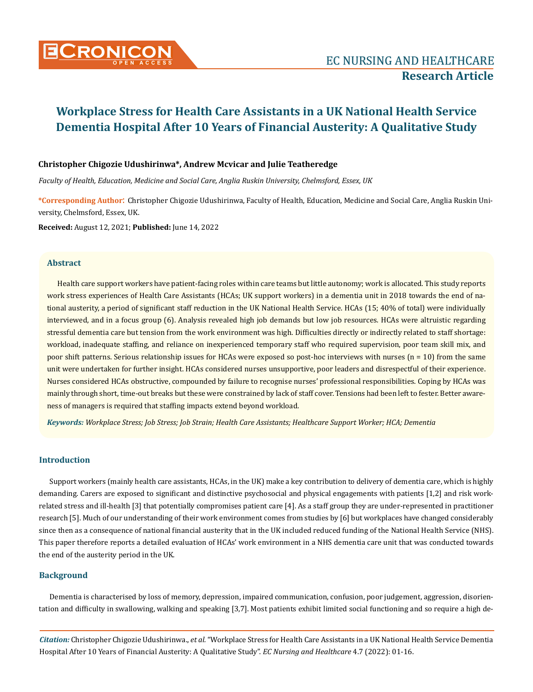

# **Christopher Chigozie Udushirinwa\*, Andrew Mcvicar and Julie Teatheredge**

*Faculty of Health, Education, Medicine and Social Care, Anglia Ruskin University, Chelmsford, Essex, UK*

**\*Corresponding Author**: Christopher Chigozie Udushirinwa, Faculty of Health, Education, Medicine and Social Care, Anglia Ruskin University, Chelmsford, Essex, UK.

**Received:** August 12, 2021; **Published:** June 14, 2022

# **Abstract**

Health care support workers have patient-facing roles within care teams but little autonomy; work is allocated. This study reports work stress experiences of Health Care Assistants (HCAs; UK support workers) in a dementia unit in 2018 towards the end of national austerity, a period of significant staff reduction in the UK National Health Service. HCAs (15; 40% of total) were individually interviewed, and in a focus group (6). Analysis revealed high job demands but low job resources. HCAs were altruistic regarding stressful dementia care but tension from the work environment was high. Difficulties directly or indirectly related to staff shortage: workload, inadequate staffing, and reliance on inexperienced temporary staff who required supervision, poor team skill mix, and poor shift patterns. Serious relationship issues for HCAs were exposed so post-hoc interviews with nurses  $(n = 10)$  from the same unit were undertaken for further insight. HCAs considered nurses unsupportive, poor leaders and disrespectful of their experience. Nurses considered HCAs obstructive, compounded by failure to recognise nurses' professional responsibilities. Coping by HCAs was mainly through short, time-out breaks but these were constrained by lack of staff cover. Tensions had been left to fester. Better awareness of managers is required that staffing impacts extend beyond workload.

*Keywords: Workplace Stress; Job Stress; Job Strain; Health Care Assistants; Healthcare Support Worker; HCA; Dementia*

# **Introduction**

Support workers (mainly health care assistants, HCAs, in the UK) make a key contribution to delivery of dementia care, which is highly demanding. Carers are exposed to significant and distinctive psychosocial and physical engagements with patients [1,2] and risk workrelated stress and ill-health [3] that potentially compromises patient care [4]. As a staff group they are under-represented in practitioner research [5]. Much of our understanding of their work environment comes from studies by [6] but workplaces have changed considerably since then as a consequence of national financial austerity that in the UK included reduced funding of the National Health Service (NHS). This paper therefore reports a detailed evaluation of HCAs' work environment in a NHS dementia care unit that was conducted towards the end of the austerity period in the UK.

# **Background**

Dementia is characterised by loss of memory, depression, impaired communication, confusion, poor judgement, aggression, disorientation and difficulty in swallowing, walking and speaking [3,7]. Most patients exhibit limited social functioning and so require a high de-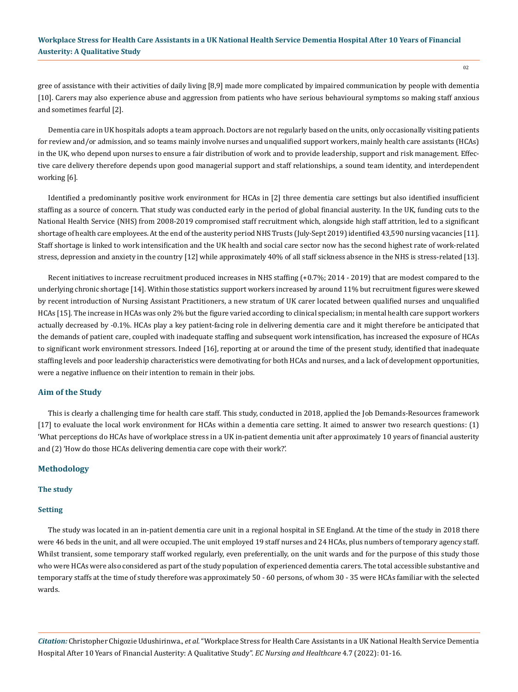gree of assistance with their activities of daily living [8,9] made more complicated by impaired communication by people with dementia [10]. Carers may also experience abuse and aggression from patients who have serious behavioural symptoms so making staff anxious and sometimes fearful [2].

Dementia care in UK hospitals adopts a team approach. Doctors are not regularly based on the units, only occasionally visiting patients for review and/or admission, and so teams mainly involve nurses and unqualified support workers, mainly health care assistants (HCAs) in the UK, who depend upon nurses to ensure a fair distribution of work and to provide leadership, support and risk management. Effective care delivery therefore depends upon good managerial support and staff relationships, a sound team identity, and interdependent working [6].

Identified a predominantly positive work environment for HCAs in [2] three dementia care settings but also identified insufficient staffing as a source of concern. That study was conducted early in the period of global financial austerity. In the UK, funding cuts to the National Health Service (NHS) from 2008-2019 compromised staff recruitment which, alongside high staff attrition, led to a significant shortage of health care employees. At the end of the austerity period NHS Trusts (July-Sept 2019) identified 43,590 nursing vacancies [11]. Staff shortage is linked to work intensification and the UK health and social care sector now has the second highest rate of work-related stress, depression and anxiety in the country [12] while approximately 40% of all staff sickness absence in the NHS is stress-related [13].

Recent initiatives to increase recruitment produced increases in NHS staffing (+0.7%; 2014 - 2019) that are modest compared to the underlying chronic shortage [14]. Within those statistics support workers increased by around 11% but recruitment figures were skewed by recent introduction of Nursing Assistant Practitioners, a new stratum of UK carer located between qualified nurses and unqualified HCAs [15]. The increase in HCAs was only 2% but the figure varied according to clinical specialism; in mental health care support workers actually decreased by -0.1%. HCAs play a key patient-facing role in delivering dementia care and it might therefore be anticipated that the demands of patient care, coupled with inadequate staffing and subsequent work intensification, has increased the exposure of HCAs to significant work environment stressors. Indeed [16], reporting at or around the time of the present study, identified that inadequate staffing levels and poor leadership characteristics were demotivating for both HCAs and nurses, and a lack of development opportunities, were a negative influence on their intention to remain in their jobs.

### **Aim of the Study**

This is clearly a challenging time for health care staff. This study, conducted in 2018, applied the Job Demands-Resources framework [17] to evaluate the local work environment for HCAs within a dementia care setting. It aimed to answer two research questions: (1) 'What perceptions do HCAs have of workplace stress in a UK in-patient dementia unit after approximately 10 years of financial austerity and (2) 'How do those HCAs delivering dementia care cope with their work?'.

### **Methodology**

#### **The study**

#### **Setting**

The study was located in an in-patient dementia care unit in a regional hospital in SE England. At the time of the study in 2018 there were 46 beds in the unit, and all were occupied. The unit employed 19 staff nurses and 24 HCAs, plus numbers of temporary agency staff. Whilst transient, some temporary staff worked regularly, even preferentially, on the unit wards and for the purpose of this study those who were HCAs were also considered as part of the study population of experienced dementia carers. The total accessible substantive and temporary staffs at the time of study therefore was approximately 50 - 60 persons, of whom 30 - 35 were HCAs familiar with the selected wards.

*Citation:* Christopher Chigozie Udushirinwa., *et al.* "Workplace Stress for Health Care Assistants in a UK National Health Service Dementia Hospital After 10 Years of Financial Austerity: A Qualitative Study". *EC Nursing and Healthcare* 4.7 (2022): 01-16.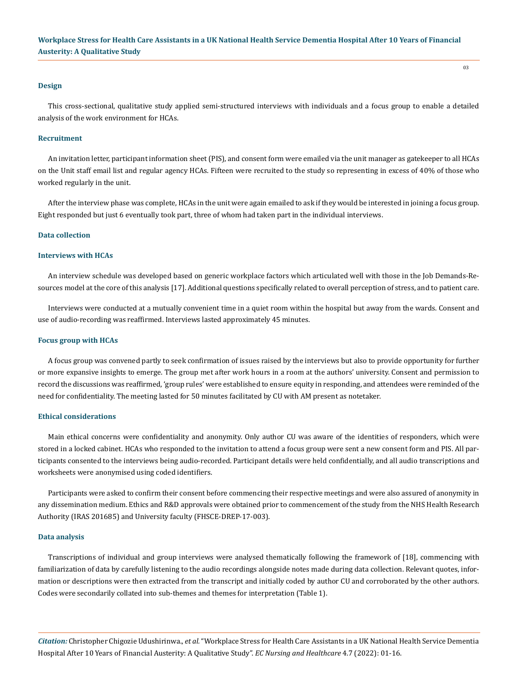#### **Design**

This cross-sectional, qualitative study applied semi-structured interviews with individuals and a focus group to enable a detailed analysis of the work environment for HCAs.

#### **Recruitment**

An invitation letter, participant information sheet (PIS), and consent form were emailed via the unit manager as gatekeeper to all HCAs on the Unit staff email list and regular agency HCAs. Fifteen were recruited to the study so representing in excess of 40% of those who worked regularly in the unit.

After the interview phase was complete, HCAs in the unit were again emailed to ask if they would be interested in joining a focus group. Eight responded but just 6 eventually took part, three of whom had taken part in the individual interviews.

### **Data collection**

#### **Interviews with HCAs**

An interview schedule was developed based on generic workplace factors which articulated well with those in the Job Demands-Resources model at the core of this analysis [17]. Additional questions specifically related to overall perception of stress, and to patient care.

Interviews were conducted at a mutually convenient time in a quiet room within the hospital but away from the wards. Consent and use of audio-recording was reaffirmed. Interviews lasted approximately 45 minutes.

#### **Focus group with HCAs**

A focus group was convened partly to seek confirmation of issues raised by the interviews but also to provide opportunity for further or more expansive insights to emerge. The group met after work hours in a room at the authors' university. Consent and permission to record the discussions was reaffirmed, 'group rules' were established to ensure equity in responding, and attendees were reminded of the need for confidentiality. The meeting lasted for 50 minutes facilitated by CU with AM present as notetaker.

#### **Ethical considerations**

Main ethical concerns were confidentiality and anonymity. Only author CU was aware of the identities of responders, which were stored in a locked cabinet. HCAs who responded to the invitation to attend a focus group were sent a new consent form and PIS. All participants consented to the interviews being audio-recorded. Participant details were held confidentially, and all audio transcriptions and worksheets were anonymised using coded identifiers.

Participants were asked to confirm their consent before commencing their respective meetings and were also assured of anonymity in any dissemination medium. Ethics and R&D approvals were obtained prior to commencement of the study from the NHS Health Research Authority (IRAS 201685) and University faculty (FHSCE-DREP-17-003).

#### **Data analysis**

Transcriptions of individual and group interviews were analysed thematically following the framework of [18], commencing with familiarization of data by carefully listening to the audio recordings alongside notes made during data collection. Relevant quotes, information or descriptions were then extracted from the transcript and initially coded by author CU and corroborated by the other authors. Codes were secondarily collated into sub-themes and themes for interpretation (Table 1).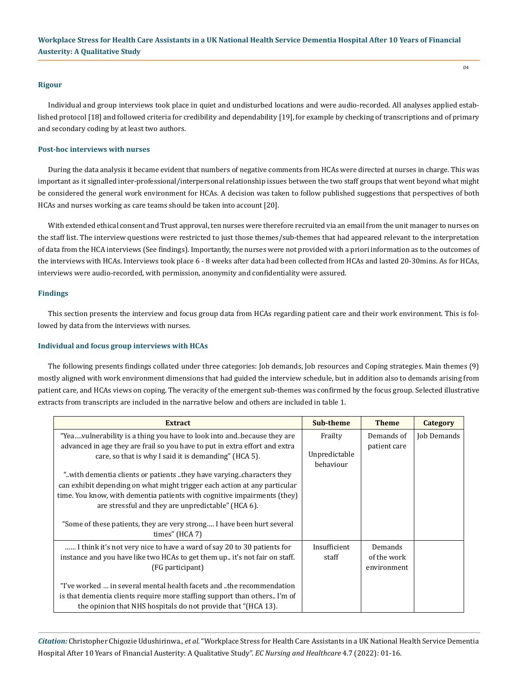# **Rigour**

Individual and group interviews took place in quiet and undisturbed locations and were audio-recorded. All analyses applied established protocol [18] and followed criteria for credibility and dependability [19], for example by checking of transcriptions and of primary and secondary coding by at least two authors.

# **Post-hoc interviews with nurses**

During the data analysis it became evident that numbers of negative comments from HCAs were directed at nurses in charge. This was important as it signalled inter-professional/interpersonal relationship issues between the two staff groups that went beyond what might be considered the general work environment for HCAs. A decision was taken to follow published suggestions that perspectives of both HCAs and nurses working as care teams should be taken into account [20].

With extended ethical consent and Trust approval, ten nurses were therefore recruited via an email from the unit manager to nurses on the staff list. The interview questions were restricted to just those themes/sub-themes that had appeared relevant to the interpretation of data from the HCA interviews (See findings). Importantly, the nurses were not provided with a priori information as to the outcomes of the interviews with HCAs. Interviews took place 6 - 8 weeks after data had been collected from HCAs and lasted 20-30mins. As for HCAs, interviews were audio-recorded, with permission, anonymity and confidentiality were assured.

# **Findings**

This section presents the interview and focus group data from HCAs regarding patient care and their work environment. This is followed by data from the interviews with nurses.

# **Individual and focus group interviews with HCAs**

The following presents findings collated under three categories: Job demands, Job resources and Coping strategies. Main themes (9) mostly aligned with work environment dimensions that had guided the interview schedule, but in addition also to demands arising from patient care, and HCAs views on coping. The veracity of the emergent sub-themes was confirmed by the focus group. Selected illustrative extracts from transcripts are included in the narrative below and others are included in table 1.

| <b>Extract</b>                                                              | Sub-theme     | <b>Theme</b> | Category    |
|-----------------------------------------------------------------------------|---------------|--------------|-------------|
| "Yeavulnerability is a thing you have to look into andbecause they are      | Frailty       | Demands of   | Job Demands |
| advanced in age they are frail so you have to put in extra effort and extra |               | patient care |             |
| care, so that is why I said it is demanding" (HCA 5).                       | Unpredictable |              |             |
|                                                                             | behaviour     |              |             |
| "with dementia clients or patients they have varyingcharacters they"        |               |              |             |
| can exhibit depending on what might trigger each action at any particular   |               |              |             |
| time. You know, with dementia patients with cognitive impairments (they)    |               |              |             |
| are stressful and they are unpredictable" (HCA 6).                          |               |              |             |
|                                                                             |               |              |             |
| "Some of these patients, they are very strong I have been hurt several      |               |              |             |
| times" $(HCA 7)$                                                            |               |              |             |
| I think it's not very nice to have a ward of say 20 to 30 patients for      | Insufficient  | Demands      |             |
| instance and you have like two HCAs to get them up. it's not fair on staff. | staff         | of the work  |             |
| (FG participant)                                                            |               | environment  |             |
|                                                                             |               |              |             |
| "I've worked  in several mental health facets and the recommendation        |               |              |             |
| is that dementia clients require more staffing support than others. I'm of  |               |              |             |
| the opinion that NHS hospitals do not provide that "(HCA 13).               |               |              |             |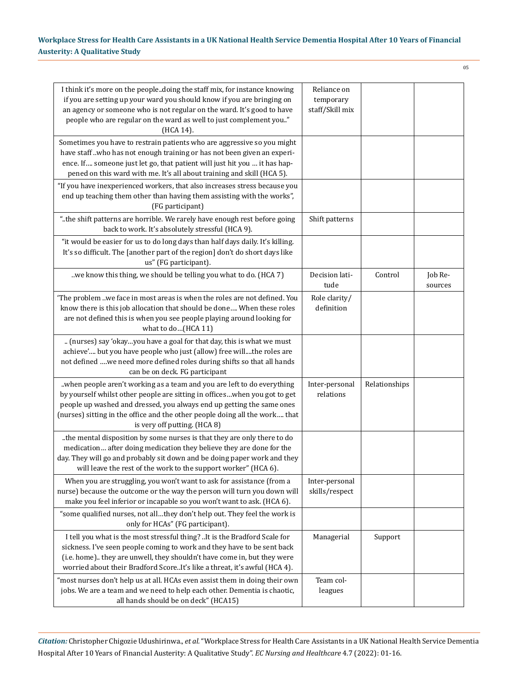| I think it's more on the peopledoing the staff mix, for instance knowing<br>if you are setting up your ward you should know if you are bringing on<br>an agency or someone who is not regular on the ward. It's good to have<br>people who are regular on the ward as well to just complement you."<br>(HCA 14).                            | Reliance on<br>temporary<br>staff/Skill mix |               |                    |
|---------------------------------------------------------------------------------------------------------------------------------------------------------------------------------------------------------------------------------------------------------------------------------------------------------------------------------------------|---------------------------------------------|---------------|--------------------|
| Sometimes you have to restrain patients who are aggressive so you might<br>have staff who has not enough training or has not been given an experi-<br>ence. If someone just let go, that patient will just hit you  it has hap-<br>pened on this ward with me. It's all about training and skill (HCA 5).                                   |                                             |               |                    |
| "If you have inexperienced workers, that also increases stress because you<br>end up teaching them other than having them assisting with the works",<br>(FG participant)                                                                                                                                                                    |                                             |               |                    |
| "the shift patterns are horrible. We rarely have enough rest before going<br>back to work. It's absolutely stressful (HCA 9).                                                                                                                                                                                                               | Shift patterns                              |               |                    |
| "it would be easier for us to do long days than half days daily. It's killing.<br>It's so difficult. The [another part of the region] don't do short days like<br>us" (FG participant).                                                                                                                                                     |                                             |               |                    |
| we know this thing, we should be telling you what to do. (HCA 7)                                                                                                                                                                                                                                                                            | Decision lati-<br>tude                      | Control       | Job Re-<br>sources |
| 'The problem we face in most areas is when the roles are not defined. You<br>know there is this job allocation that should be done When these roles<br>are not defined this is when you see people playing around looking for<br>what to do(HCA 11)                                                                                         | Role clarity/<br>definition                 |               |                    |
| (nurses) say 'okayyou have a goal for that day, this is what we must<br>achieve' but you have people who just (allow) free willthe roles are<br>not defined we need more defined roles during shifts so that all hands<br>can be on deck. FG participant                                                                                    |                                             |               |                    |
| when people aren't working as a team and you are left to do everything<br>by yourself whilst other people are sitting in officeswhen you got to get<br>people up washed and dressed, you always end up getting the same ones<br>(nurses) sitting in the office and the other people doing all the work that<br>is very off putting. (HCA 8) | Inter-personal<br>relations                 | Relationships |                    |
| the mental disposition by some nurses is that they are only there to do<br>medication after doing medication they believe they are done for the<br>day. They will go and probably sit down and be doing paper work and they<br>will leave the rest of the work to the support worker" (HCA 6).                                              |                                             |               |                    |
| When you are struggling, you won't want to ask for assistance (from a<br>nurse) because the outcome or the way the person will turn you down will<br>make you feel inferior or incapable so you won't want to ask. (HCA 6).                                                                                                                 | Inter-personal<br>skills/respect            |               |                    |
| "some qualified nurses, not allthey don't help out. They feel the work is<br>only for HCAs" (FG participant).                                                                                                                                                                                                                               |                                             |               |                    |
| I tell you what is the most stressful thing? It is the Bradford Scale for<br>sickness. I've seen people coming to work and they have to be sent back<br>(i.e. home) they are unwell, they shouldn't have come in, but they were<br>worried about their Bradford ScoreIt's like a threat, it's awful (HCA 4).                                | Managerial                                  | Support       |                    |
| "most nurses don't help us at all. HCAs even assist them in doing their own<br>jobs. We are a team and we need to help each other. Dementia is chaotic,<br>all hands should be on deck" (HCA15)                                                                                                                                             | Team col-<br>leagues                        |               |                    |

*Citation:* Christopher Chigozie Udushirinwa., *et al.* "Workplace Stress for Health Care Assistants in a UK National Health Service Dementia Hospital After 10 Years of Financial Austerity: A Qualitative Study". *EC Nursing and Healthcare* 4.7 (2022): 01-16.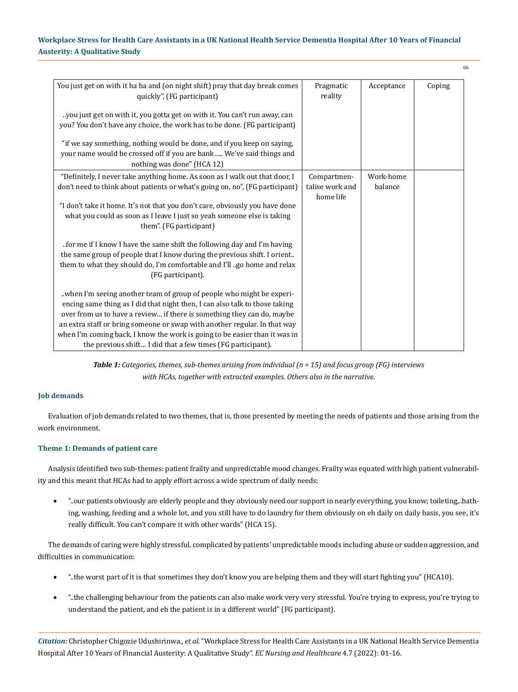| You just get on with it ha ha and (on night shift) pray that day break comes<br>quickly", (FG participant)<br>you just get on with it, you gotta get on with it. You can't run away, can<br>you? You don't have any choice, the work has to be done. (FG participant)                                                                                                                                                                                   | Pragmatic<br>reality           | Acceptance           | Coping |
|---------------------------------------------------------------------------------------------------------------------------------------------------------------------------------------------------------------------------------------------------------------------------------------------------------------------------------------------------------------------------------------------------------------------------------------------------------|--------------------------------|----------------------|--------|
| "if we say something, nothing would be done, and if you keep on saying,<br>your name would be crossed off if you are bank We've said things and<br>nothing was done" (HCA 12)                                                                                                                                                                                                                                                                           |                                |                      |        |
| "Definitely, I never take anything home. As soon as I walk out that door, I<br>don't need to think about patients or what's going on, no", (FG participant)                                                                                                                                                                                                                                                                                             | Compartmen-<br>talise work and | Work-home<br>balance |        |
| "I don't take it home. It's not that you don't care, obviously you have done<br>what you could as soon as I leave I just so yeah someone else is taking<br>them". (FG participant)                                                                                                                                                                                                                                                                      | home life                      |                      |        |
| for me if I know I have the same shift the following day and I'm having<br>the same group of people that I know during the previous shift. I orient<br>them to what they should do, I'm comfortable and I'll go home and relax<br>(FG participant).                                                                                                                                                                                                     |                                |                      |        |
| when I'm seeing another team of group of people who might be experi-<br>encing same thing as I did that night then, I can also talk to those taking<br>over from us to have a review if there is something they can do, maybe<br>an extra staff or bring someone or swap with another regular. In that way<br>when I'm coming back, I know the work is going to be easier than it was in<br>the previous shift I did that a few times (FG participant). |                                |                      |        |

*Table 1: Categories, themes, sub-themes arising from individual (n = 15) and focus group (FG) interviews with HCAs, together with extracted examples. Others also in the narrative.*

# **Job demands**

Evaluation of job demands related to two themes, that is, those presented by meeting the needs of patients and those arising from the work environment.

# **Theme 1: Demands of patient care**

Analysis identified two sub-themes: patient frailty and unpredictable mood changes. Frailty was equated with high patient vulnerability and this meant that HCAs had to apply effort across a wide spectrum of daily needs:

• "..our patients obviously are elderly people and they obviously need our support in nearly everything, you know; toileting,..bathing, washing, feeding and a whole lot, and you still have to do laundry for them obviously on eh daily on daily basis, you see, it's really difficult. You can't compare it with other wards" (HCA 15).

The demands of caring were highly stressful, complicated by patients' unpredictable moods including abuse or sudden aggression, and difficulties in communication:

- "..the worst part of it is that sometimes they don't know you are helping them and they will start fighting you" (HCA10).
- • "..the challenging behaviour from the patients can also make work very very stressful. You're trying to express, you're trying to understand the patient, and eh the patient is in a different world" (FG participant).

*Citation:* Christopher Chigozie Udushirinwa., *et al.* "Workplace Stress for Health Care Assistants in a UK National Health Service Dementia Hospital After 10 Years of Financial Austerity: A Qualitative Study". *EC Nursing and Healthcare* 4.7 (2022): 01-16.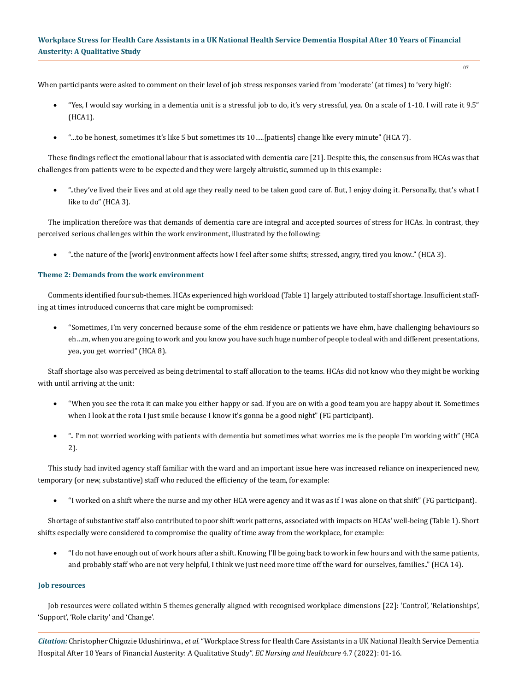When participants were asked to comment on their level of job stress responses varied from 'moderate' (at times) to 'very high':

- • "Yes, I would say working in a dementia unit is a stressful job to do, it's very stressful, yea. On a scale of 1-10. I will rate it 9.5" (HCA1).
- "...to be honest, sometimes it's like 5 but sometimes its 10.....[patients] change like every minute" (HCA 7).

These findings reflect the emotional labour that is associated with dementia care [21]. Despite this, the consensus from HCAs was that challenges from patients were to be expected and they were largely altruistic, summed up in this example:

"..they've lived their lives and at old age they really need to be taken good care of. But, I enjoy doing it. Personally, that's what I like to do" (HCA 3).

The implication therefore was that demands of dementia care are integral and accepted sources of stress for HCAs. In contrast, they perceived serious challenges within the work environment, illustrated by the following:

"..the nature of the [work] environment affects how I feel after some shifts; stressed, angry, tired you know.." (HCA 3).

# **Theme 2: Demands from the work environment**

Comments identified four sub-themes. HCAs experienced high workload (Table 1) largely attributed to staff shortage. Insufficient staffing at times introduced concerns that care might be compromised:

• "Sometimes, I'm very concerned because some of the ehm residence or patients we have ehm, have challenging behaviours so eh…m, when you are going to work and you know you have such huge number of people to deal with and different presentations, yea, you get worried" (HCA 8).

Staff shortage also was perceived as being detrimental to staff allocation to the teams. HCAs did not know who they might be working with until arriving at the unit:

- • "When you see the rota it can make you either happy or sad. If you are on with a good team you are happy about it. Sometimes when I look at the rota I just smile because I know it's gonna be a good night" (FG participant).
- • ".. I'm not worried working with patients with dementia but sometimes what worries me is the people I'm working with" (HCA 2).

This study had invited agency staff familiar with the ward and an important issue here was increased reliance on inexperienced new, temporary (or new, substantive) staff who reduced the efficiency of the team, for example:

• "I worked on a shift where the nurse and my other HCA were agency and it was as if I was alone on that shift" (FG participant).

Shortage of substantive staff also contributed to poor shift work patterns, associated with impacts on HCAs' well-being (Table 1). Short shifts especially were considered to compromise the quality of time away from the workplace, for example:

• "I do not have enough out of work hours after a shift. Knowing I'll be going back to work in few hours and with the same patients, and probably staff who are not very helpful, I think we just need more time off the ward for ourselves, families.." (HCA 14).

#### **Job resources**

Job resources were collated within 5 themes generally aligned with recognised workplace dimensions [22]: 'Control', 'Relationships', 'Support', 'Role clarity' and 'Change'.

*Citation:* Christopher Chigozie Udushirinwa., *et al.* "Workplace Stress for Health Care Assistants in a UK National Health Service Dementia Hospital After 10 Years of Financial Austerity: A Qualitative Study". *EC Nursing and Healthcare* 4.7 (2022): 01-16.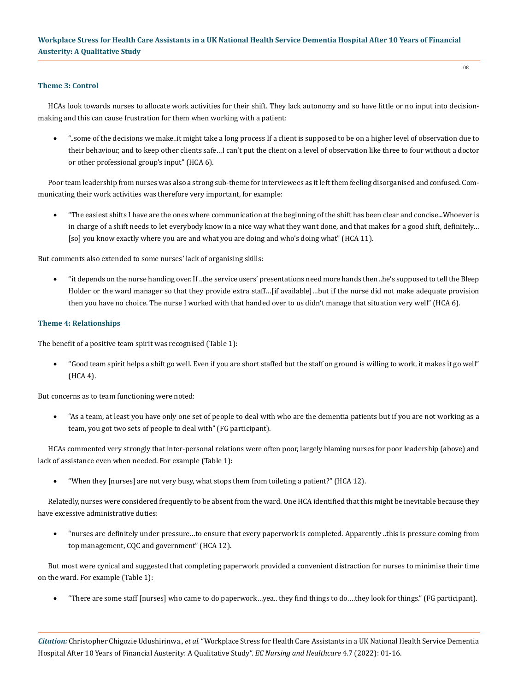### **Theme 3: Control**

HCAs look towards nurses to allocate work activities for their shift. They lack autonomy and so have little or no input into decisionmaking and this can cause frustration for them when working with a patient:

• "..some of the decisions we make..it might take a long process If a client is supposed to be on a higher level of observation due to their behaviour, and to keep other clients safe…I can't put the client on a level of observation like three to four without a doctor or other professional group's input" (HCA 6).

Poor team leadership from nurses was also a strong sub-theme for interviewees as it left them feeling disorganised and confused. Communicating their work activities was therefore very important, for example:

• "The easiest shifts I have are the ones where communication at the beginning of the shift has been clear and concise...Whoever is in charge of a shift needs to let everybody know in a nice way what they want done, and that makes for a good shift, definitely… [so] you know exactly where you are and what you are doing and who's doing what" (HCA 11).

But comments also extended to some nurses' lack of organising skills:

• "it depends on the nurse handing over. If ..the service users' presentations need more hands then ..he's supposed to tell the Bleep Holder or the ward manager so that they provide extra staff…[if available]…but if the nurse did not make adequate provision then you have no choice. The nurse I worked with that handed over to us didn't manage that situation very well" (HCA 6).

### **Theme 4: Relationships**

The benefit of a positive team spirit was recognised (Table 1):

• "Good team spirit helps a shift go well. Even if you are short staffed but the staff on ground is willing to work, it makes it go well" (HCA 4).

But concerns as to team functioning were noted:

• "As a team, at least you have only one set of people to deal with who are the dementia patients but if you are not working as a team, you got two sets of people to deal with" (FG participant).

HCAs commented very strongly that inter-personal relations were often poor, largely blaming nurses for poor leadership (above) and lack of assistance even when needed. For example (Table 1):

• "When they [nurses] are not very busy, what stops them from toileting a patient?" (HCA 12).

Relatedly, nurses were considered frequently to be absent from the ward. One HCA identified that this might be inevitable because they have excessive administrative duties:

• "nurses are definitely under pressure…to ensure that every paperwork is completed. Apparently ..this is pressure coming from top management, CQC and government" (HCA 12).

But most were cynical and suggested that completing paperwork provided a convenient distraction for nurses to minimise their time on the ward. For example (Table 1):

• "There are some staff [nurses] who came to do paperwork…yea.. they find things to do.…they look for things." (FG participant).

*Citation:* Christopher Chigozie Udushirinwa., *et al.* "Workplace Stress for Health Care Assistants in a UK National Health Service Dementia Hospital After 10 Years of Financial Austerity: A Qualitative Study". *EC Nursing and Healthcare* 4.7 (2022): 01-16.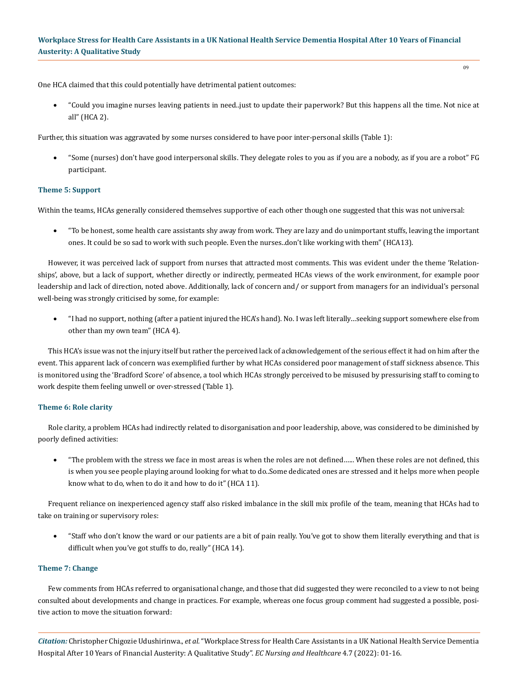One HCA claimed that this could potentially have detrimental patient outcomes:

• "Could you imagine nurses leaving patients in need..just to update their paperwork? But this happens all the time. Not nice at all" (HCA 2).

Further, this situation was aggravated by some nurses considered to have poor inter-personal skills (Table 1):

"Some (nurses) don't have good interpersonal skills. They delegate roles to you as if you are a nobody, as if you are a robot" FG participant.

### **Theme 5: Support**

Within the teams, HCAs generally considered themselves supportive of each other though one suggested that this was not universal:

• "To be honest, some health care assistants shy away from work. They are lazy and do unimportant stuffs, leaving the important ones. It could be so sad to work with such people. Even the nurses..don't like working with them" (HCA13).

However, it was perceived lack of support from nurses that attracted most comments. This was evident under the theme 'Relationships', above, but a lack of support, whether directly or indirectly, permeated HCAs views of the work environment, for example poor leadership and lack of direction, noted above. Additionally, lack of concern and/ or support from managers for an individual's personal well-being was strongly criticised by some, for example:

• "I had no support, nothing (after a patient injured the HCA's hand). No. I was left literally…seeking support somewhere else from other than my own team" (HCA 4).

This HCA's issue was not the injury itself but rather the perceived lack of acknowledgement of the serious effect it had on him after the event. This apparent lack of concern was exemplified further by what HCAs considered poor management of staff sickness absence. This is monitored using the 'Bradford Score' of absence, a tool which HCAs strongly perceived to be misused by pressurising staff to coming to work despite them feeling unwell or over-stressed (Table 1).

#### **Theme 6: Role clarity**

Role clarity, a problem HCAs had indirectly related to disorganisation and poor leadership, above, was considered to be diminished by poorly defined activities:

"The problem with the stress we face in most areas is when the roles are not defined...... When these roles are not defined, this is when you see people playing around looking for what to do..Some dedicated ones are stressed and it helps more when people know what to do, when to do it and how to do it" (HCA 11).

Frequent reliance on inexperienced agency staff also risked imbalance in the skill mix profile of the team, meaning that HCAs had to take on training or supervisory roles:

• "Staff who don't know the ward or our patients are a bit of pain really. You've got to show them literally everything and that is difficult when you've got stuffs to do, really" (HCA 14).

#### **Theme 7: Change**

Few comments from HCAs referred to organisational change, and those that did suggested they were reconciled to a view to not being consulted about developments and change in practices. For example, whereas one focus group comment had suggested a possible, positive action to move the situation forward:

*Citation:* Christopher Chigozie Udushirinwa., *et al.* "Workplace Stress for Health Care Assistants in a UK National Health Service Dementia Hospital After 10 Years of Financial Austerity: A Qualitative Study". *EC Nursing and Healthcare* 4.7 (2022): 01-16.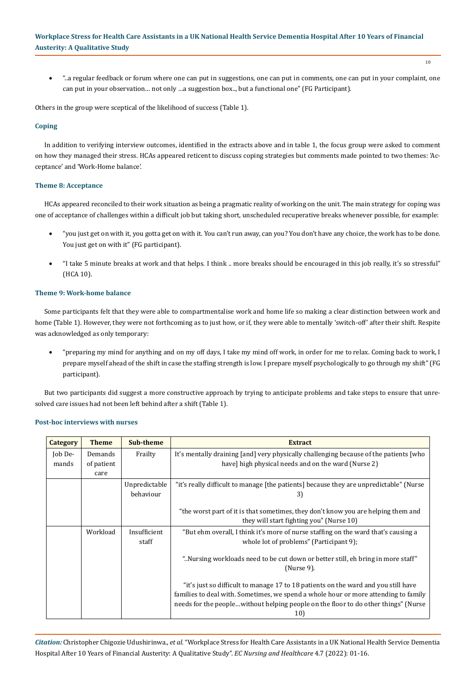"..a regular feedback or forum where one can put in suggestions, one can put in comments, one can put in your complaint, one can put in your observation… not only …a suggestion box.., but a functional one" (FG Participant).

Others in the group were sceptical of the likelihood of success (Table 1).

# **Coping**

In addition to verifying interview outcomes, identified in the extracts above and in table 1, the focus group were asked to comment on how they managed their stress. HCAs appeared reticent to discuss coping strategies but comments made pointed to two themes: 'Acceptance' and 'Work-Home balance'.

### **Theme 8: Acceptance**

HCAs appeared reconciled to their work situation as being a pragmatic reality of working on the unit. The main strategy for coping was one of acceptance of challenges within a difficult job but taking short, unscheduled recuperative breaks whenever possible, for example:

- • "you just get on with it, you gotta get on with it. You can't run away, can you? You don't have any choice, the work has to be done. You just get on with it" (FG participant).
- • "I take 5 minute breaks at work and that helps. I think .. more breaks should be encouraged in this job really, it's so stressful" (HCA 10).

# **Theme 9: Work-home balance**

Some participants felt that they were able to compartmentalise work and home life so making a clear distinction between work and home (Table 1). However, they were not forthcoming as to just how, or if, they were able to mentally 'switch-off' after their shift. Respite was acknowledged as only temporary:

• "preparing my mind for anything and on my off days, I take my mind off work, in order for me to relax. Coming back to work, I prepare myself ahead of the shift in case the staffing strength is low. I prepare myself psychologically to go through my shift" (FG participant).

But two participants did suggest a more constructive approach by trying to anticipate problems and take steps to ensure that unresolved care issues had not been left behind after a shift (Table 1).

| <b>Category</b> | <b>Theme</b> | Sub-theme     | <b>Extract</b>                                                                                    |
|-----------------|--------------|---------------|---------------------------------------------------------------------------------------------------|
| Job De-         | Demands      | Frailty       | It's mentally draining [and] very physically challenging because of the patients [who             |
| mands           | of patient   |               | have] high physical needs and on the ward (Nurse 2)                                               |
|                 | care         |               |                                                                                                   |
|                 |              | Unpredictable | "it's really difficult to manage [the patients] because they are unpredictable" (Nurse            |
|                 |              | behaviour     | 3)                                                                                                |
|                 |              |               |                                                                                                   |
|                 |              |               | "the worst part of it is that sometimes, they don't know you are helping them and                 |
|                 |              |               | they will start fighting you" (Nurse 10)                                                          |
|                 | Workload     | Insufficient  | "But ehm overall, I think it's more of nurse staffing on the ward that's causing a                |
|                 |              | staff         | whole lot of problems" (Participant 9);                                                           |
|                 |              |               | "Nursing workloads need to be cut down or better still, eh bring in more staff."<br>$(Nurse 9)$ . |
|                 |              |               | "it's just so difficult to manage 17 to 18 patients on the ward and you still have                |
|                 |              |               | families to deal with. Sometimes, we spend a whole hour or more attending to family               |
|                 |              |               | needs for the peoplewithout helping people on the floor to do other things" (Nurse                |
|                 |              |               | 10)                                                                                               |

### **Post-hoc interviews with nurses**

*Citation:* Christopher Chigozie Udushirinwa., *et al.* "Workplace Stress for Health Care Assistants in a UK National Health Service Dementia Hospital After 10 Years of Financial Austerity: A Qualitative Study". *EC Nursing and Healthcare* 4.7 (2022): 01-16.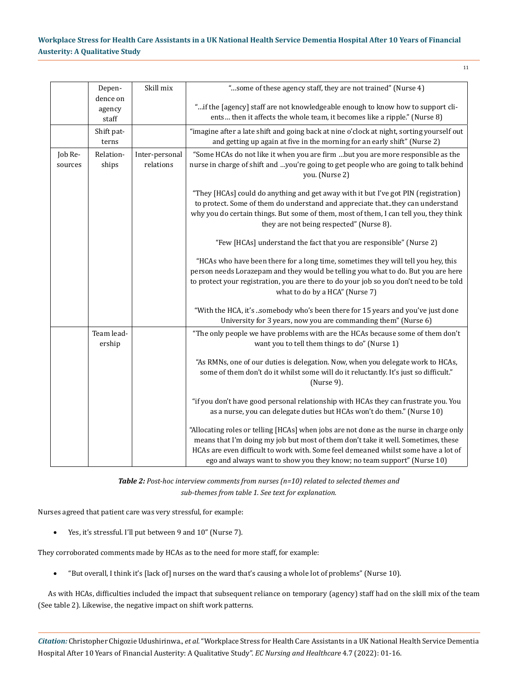|                    | Depen-                      | Skill mix                   | "some of these agency staff, they are not trained" (Nurse 4)                                                                                                                                                                                                                                                                                |
|--------------------|-----------------------------|-----------------------------|---------------------------------------------------------------------------------------------------------------------------------------------------------------------------------------------------------------------------------------------------------------------------------------------------------------------------------------------|
|                    | dence on<br>agency<br>staff |                             | "if the [agency] staff are not knowledgeable enough to know how to support cli-<br>ents then it affects the whole team, it becomes like a ripple." (Nurse 8)                                                                                                                                                                                |
|                    | Shift pat-<br>terns         |                             | "imagine after a late shift and going back at nine o'clock at night, sorting yourself out<br>and getting up again at five in the morning for an early shift" (Nurse 2)                                                                                                                                                                      |
| Job Re-<br>sources | Relation-<br>ships          | Inter-personal<br>relations | "Some HCAs do not like it when you are firm but you are more responsible as the<br>nurse in charge of shift and you're going to get people who are going to talk behind<br>you. (Nurse 2)                                                                                                                                                   |
|                    |                             |                             | "They [HCAs] could do anything and get away with it but I've got PIN (registration)<br>to protect. Some of them do understand and appreciate that. they can understand<br>why you do certain things. But some of them, most of them, I can tell you, they think<br>they are not being respected" (Nurse 8).                                 |
|                    |                             |                             | "Few [HCAs] understand the fact that you are responsible" (Nurse 2)                                                                                                                                                                                                                                                                         |
|                    |                             |                             | "HCAs who have been there for a long time, sometimes they will tell you hey, this<br>person needs Lorazepam and they would be telling you what to do. But you are here<br>to protect your registration, you are there to do your job so you don't need to be told<br>what to do by a HCA" (Nurse 7)                                         |
|                    |                             |                             | "With the HCA, it's somebody who's been there for 15 years and you've just done<br>University for 3 years, now you are commanding them" (Nurse 6)                                                                                                                                                                                           |
|                    | Team lead-<br>ership        |                             | "The only people we have problems with are the HCAs because some of them don't<br>want you to tell them things to do" (Nurse 1)                                                                                                                                                                                                             |
|                    |                             |                             | "As RMNs, one of our duties is delegation. Now, when you delegate work to HCAs,<br>some of them don't do it whilst some will do it reluctantly. It's just so difficult."<br>(Nurse 9).                                                                                                                                                      |
|                    |                             |                             | "if you don't have good personal relationship with HCAs they can frustrate you. You<br>as a nurse, you can delegate duties but HCAs won't do them." (Nurse 10)                                                                                                                                                                              |
|                    |                             |                             | "Allocating roles or telling [HCAs] when jobs are not done as the nurse in charge only<br>means that I'm doing my job but most of them don't take it well. Sometimes, these<br>HCAs are even difficult to work with. Some feel demeaned whilst some have a lot of<br>ego and always want to show you they know; no team support" (Nurse 10) |

*Table 2: Post-hoc interview comments from nurses (n=10) related to selected themes and sub-themes from table 1. See text for explanation.*

Nurses agreed that patient care was very stressful, for example:

• Yes, it's stressful. I'll put between 9 and 10" (Nurse 7).

They corroborated comments made by HCAs as to the need for more staff, for example:

• "But overall, I think it's [lack of] nurses on the ward that's causing a whole lot of problems" (Nurse 10).

As with HCAs, difficulties included the impact that subsequent reliance on temporary (agency) staff had on the skill mix of the team (See table 2). Likewise, the negative impact on shift work patterns.

*Citation:* Christopher Chigozie Udushirinwa., *et al.* "Workplace Stress for Health Care Assistants in a UK National Health Service Dementia Hospital After 10 Years of Financial Austerity: A Qualitative Study". *EC Nursing and Healthcare* 4.7 (2022): 01-16.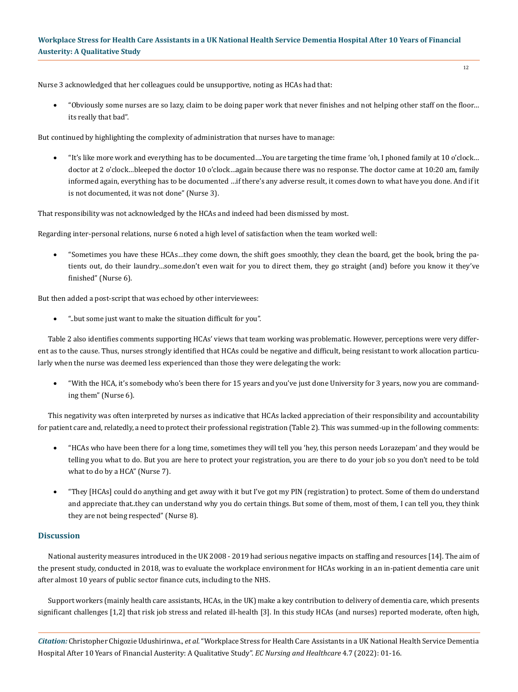12

Nurse 3 acknowledged that her colleagues could be unsupportive, noting as HCAs had that:

• "Obviously some nurses are so lazy, claim to be doing paper work that never finishes and not helping other staff on the floor… its really that bad".

But continued by highlighting the complexity of administration that nurses have to manage:

"It's like more work and everything has to be documented....You are targeting the time frame 'oh, I phoned family at 10 o'clock... doctor at 2 o'clock…bleeped the doctor 10 o'clock…again because there was no response. The doctor came at 10:20 am, family informed again, everything has to be documented …if there's any adverse result, it comes down to what have you done. And if it is not documented, it was not done" (Nurse 3).

That responsibility was not acknowledged by the HCAs and indeed had been dismissed by most.

Regarding inter-personal relations, nurse 6 noted a high level of satisfaction when the team worked well:

• "Sometimes you have these HCAs…they come down, the shift goes smoothly, they clean the board, get the book, bring the patients out, do their laundry…some.don't even wait for you to direct them, they go straight (and) before you know it they've finished" (Nurse 6).

But then added a post-script that was echoed by other interviewees:

"..but some just want to make the situation difficult for you".

Table 2 also identifies comments supporting HCAs' views that team working was problematic. However, perceptions were very different as to the cause. Thus, nurses strongly identified that HCAs could be negative and difficult, being resistant to work allocation particularly when the nurse was deemed less experienced than those they were delegating the work:

• "With the HCA, it's somebody who's been there for 15 years and you've just done University for 3 years, now you are commanding them" (Nurse 6).

This negativity was often interpreted by nurses as indicative that HCAs lacked appreciation of their responsibility and accountability for patient care and, relatedly, a need to protect their professional registration (Table 2). This was summed-up in the following comments:

- • "HCAs who have been there for a long time, sometimes they will tell you 'hey, this person needs Lorazepam' and they would be telling you what to do. But you are here to protect your registration, you are there to do your job so you don't need to be told what to do by a HCA" (Nurse 7).
- • "They [HCAs] could do anything and get away with it but I've got my PIN (registration) to protect. Some of them do understand and appreciate that..they can understand why you do certain things. But some of them, most of them, I can tell you, they think they are not being respected" (Nurse 8).

# **Discussion**

National austerity measures introduced in the UK 2008 - 2019 had serious negative impacts on staffing and resources [14]. The aim of the present study, conducted in 2018, was to evaluate the workplace environment for HCAs working in an in-patient dementia care unit after almost 10 years of public sector finance cuts, including to the NHS.

Support workers (mainly health care assistants, HCAs, in the UK) make a key contribution to delivery of dementia care, which presents significant challenges [1,2] that risk job stress and related ill-health [3]. In this study HCAs (and nurses) reported moderate, often high,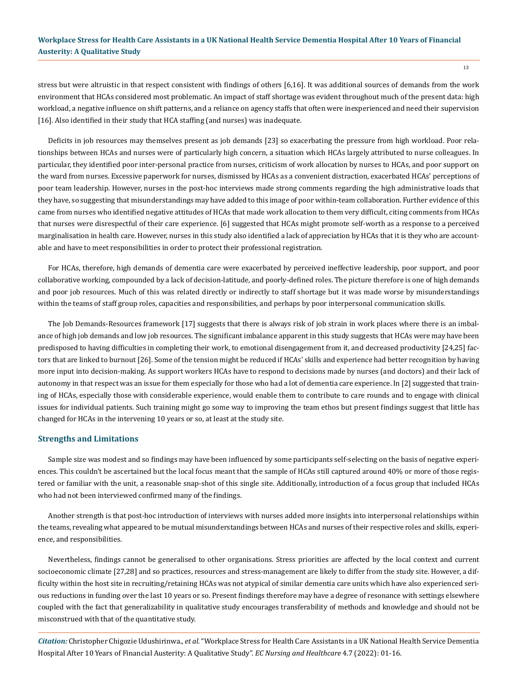stress but were altruistic in that respect consistent with findings of others [6,16]. It was additional sources of demands from the work environment that HCAs considered most problematic. An impact of staff shortage was evident throughout much of the present data: high workload, a negative influence on shift patterns, and a reliance on agency staffs that often were inexperienced and need their supervision [16]. Also identified in their study that HCA staffing (and nurses) was inadequate.

Deficits in job resources may themselves present as job demands [23] so exacerbating the pressure from high workload. Poor relationships between HCAs and nurses were of particularly high concern, a situation which HCAs largely attributed to nurse colleagues. In particular, they identified poor inter-personal practice from nurses, criticism of work allocation by nurses to HCAs, and poor support on the ward from nurses. Excessive paperwork for nurses, dismissed by HCAs as a convenient distraction, exacerbated HCAs' perceptions of poor team leadership. However, nurses in the post-hoc interviews made strong comments regarding the high administrative loads that they have, so suggesting that misunderstandings may have added to this image of poor within-team collaboration. Further evidence of this came from nurses who identified negative attitudes of HCAs that made work allocation to them very difficult, citing comments from HCAs that nurses were disrespectful of their care experience. [6] suggested that HCAs might promote self-worth as a response to a perceived marginalisation in health care. However, nurses in this study also identified a lack of appreciation by HCAs that it is they who are accountable and have to meet responsibilities in order to protect their professional registration.

For HCAs, therefore, high demands of dementia care were exacerbated by perceived ineffective leadership, poor support, and poor collaborative working, compounded by a lack of decision-latitude, and poorly-defined roles. The picture therefore is one of high demands and poor job resources. Much of this was related directly or indirectly to staff shortage but it was made worse by misunderstandings within the teams of staff group roles, capacities and responsibilities, and perhaps by poor interpersonal communication skills.

The Job Demands-Resources framework [17] suggests that there is always risk of job strain in work places where there is an imbalance of high job demands and low job resources. The significant imbalance apparent in this study suggests that HCAs were may have been predisposed to having difficulties in completing their work, to emotional disengagement from it, and decreased productivity [24,25] factors that are linked to burnout [26]. Some of the tension might be reduced if HCAs' skills and experience had better recognition by having more input into decision-making. As support workers HCAs have to respond to decisions made by nurses (and doctors) and their lack of autonomy in that respect was an issue for them especially for those who had a lot of dementia care experience. In [2] suggested that training of HCAs, especially those with considerable experience, would enable them to contribute to care rounds and to engage with clinical issues for individual patients. Such training might go some way to improving the team ethos but present findings suggest that little has changed for HCAs in the intervening 10 years or so, at least at the study site.

### **Strengths and Limitations**

Sample size was modest and so findings may have been influenced by some participants self-selecting on the basis of negative experiences. This couldn't be ascertained but the local focus meant that the sample of HCAs still captured around 40% or more of those registered or familiar with the unit, a reasonable snap-shot of this single site. Additionally, introduction of a focus group that included HCAs who had not been interviewed confirmed many of the findings.

Another strength is that post-hoc introduction of interviews with nurses added more insights into interpersonal relationships within the teams, revealing what appeared to be mutual misunderstandings between HCAs and nurses of their respective roles and skills, experience, and responsibilities.

Nevertheless, findings cannot be generalised to other organisations. Stress priorities are affected by the local context and current socioeconomic climate [27,28] and so practices, resources and stress-management are likely to differ from the study site. However, a difficulty within the host site in recruiting/retaining HCAs was not atypical of similar dementia care units which have also experienced serious reductions in funding over the last 10 years or so. Present findings therefore may have a degree of resonance with settings elsewhere coupled with the fact that generalizability in qualitative study encourages transferability of methods and knowledge and should not be misconstrued with that of the quantitative study.

*Citation:* Christopher Chigozie Udushirinwa., *et al.* "Workplace Stress for Health Care Assistants in a UK National Health Service Dementia Hospital After 10 Years of Financial Austerity: A Qualitative Study". *EC Nursing and Healthcare* 4.7 (2022): 01-16.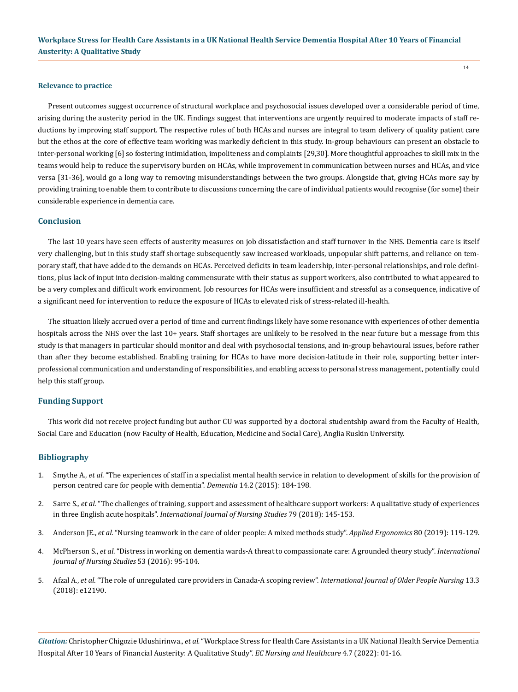#### **Relevance to practice**

Present outcomes suggest occurrence of structural workplace and psychosocial issues developed over a considerable period of time, arising during the austerity period in the UK. Findings suggest that interventions are urgently required to moderate impacts of staff reductions by improving staff support. The respective roles of both HCAs and nurses are integral to team delivery of quality patient care but the ethos at the core of effective team working was markedly deficient in this study. In-group behaviours can present an obstacle to inter-personal working [6] so fostering intimidation, impoliteness and complaints [29,30]. More thoughtful approaches to skill mix in the teams would help to reduce the supervisory burden on HCAs, while improvement in communication between nurses and HCAs, and vice versa [31-36], would go a long way to removing misunderstandings between the two groups. Alongside that, giving HCAs more say by providing training to enable them to contribute to discussions concerning the care of individual patients would recognise (for some) their considerable experience in dementia care.

### **Conclusion**

The last 10 years have seen effects of austerity measures on job dissatisfaction and staff turnover in the NHS. Dementia care is itself very challenging, but in this study staff shortage subsequently saw increased workloads, unpopular shift patterns, and reliance on temporary staff, that have added to the demands on HCAs. Perceived deficits in team leadership, inter-personal relationships, and role definitions, plus lack of input into decision-making commensurate with their status as support workers, also contributed to what appeared to be a very complex and difficult work environment. Job resources for HCAs were insufficient and stressful as a consequence, indicative of a significant need for intervention to reduce the exposure of HCAs to elevated risk of stress-related ill-health.

The situation likely accrued over a period of time and current findings likely have some resonance with experiences of other dementia hospitals across the NHS over the last 10+ years. Staff shortages are unlikely to be resolved in the near future but a message from this study is that managers in particular should monitor and deal with psychosocial tensions, and in-group behavioural issues, before rather than after they become established. Enabling training for HCAs to have more decision-latitude in their role, supporting better interprofessional communication and understanding of responsibilities, and enabling access to personal stress management, potentially could help this staff group.

### **Funding Support**

This work did not receive project funding but author CU was supported by a doctoral studentship award from the Faculty of Health, Social Care and Education (now Faculty of Health, Education, Medicine and Social Care), Anglia Ruskin University.

### **Bibliography**

- 1. Smythe A., *et al*[. "The experiences of staff in a specialist mental health service in relation to development of skills for the provision of](https://pubmed.ncbi.nlm.nih.gov/24339098/) [person centred care for people with dementia".](https://pubmed.ncbi.nlm.nih.gov/24339098/) *Dementia* 14.2 (2015): 184-198.
- 2. Sarre S., *et al*[. "The challenges of training, support and assessment of healthcare support workers: A qualitative study of experiences](https://pubmed.ncbi.nlm.nih.gov/29272810/) in three English acute hospitals". *[International Journal of Nursing Studies](https://pubmed.ncbi.nlm.nih.gov/29272810/)* 79 (2018): 145-153.
- 3. Anderson JE., *et al*[. "Nursing teamwork in the care of older people: A mixed methods study".](https://pubmed.ncbi.nlm.nih.gov/31280795/) *Applied Ergonomics* 80 (2019): 119-129.
- 4. McPherson S., *et al*[. "Distress in working on dementia wards-A threat to compassionate care: A grounded theory study".](https://pubmed.ncbi.nlm.nih.gov/26384957/) *International [Journal of Nursing Studies](https://pubmed.ncbi.nlm.nih.gov/26384957/)* 53 (2016): 95-104.
- 5. Afzal A., *et al*[. "The role of unregulated care providers in Canada-A scoping review".](https://pubmed.ncbi.nlm.nih.gov/29575512/) *International Journal of Older People Nursing* 13.3 [\(2018\): e12190.](https://pubmed.ncbi.nlm.nih.gov/29575512/)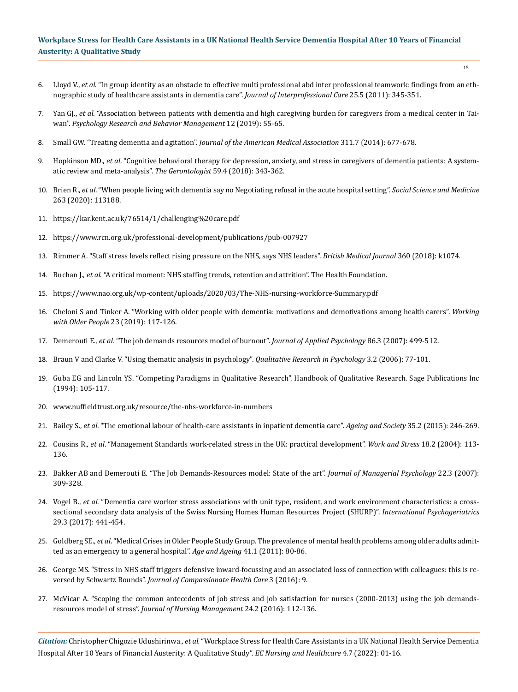- 6. Lloyd V., *et al*[. "In group identity as an obstacle to effective multi professional abd inter professional teamwork: findings from an eth](https://pubmed.ncbi.nlm.nih.gov/21635181/)[nographic study of healthcare assistants in dementia care".](https://pubmed.ncbi.nlm.nih.gov/21635181/) *Journal of Interprofessional Care* 25.5 (2011): 345-351.
- 7. Yan GJ., *et al*[. "Association between patients with dementia and high caregiving burden for caregivers from a medical center in Tai](https://pubmed.ncbi.nlm.nih.gov/30697090/)wan". *[Psychology Research and Behavior Management](https://pubmed.ncbi.nlm.nih.gov/30697090/)* 12 (2019): 55-65.
- 8. Small GW. "Treating dementia and agitation". *[Journal of the American Medical Association](https://jamanetwork.com/journals/jama/article-abstract/1829969)* 311.7 (2014): 677-678.
- 9. Hopkinson MD., *et al*[. "Cognitive behavioral therapy for depression, anxiety, and stress in caregivers of dementia patients: A system](https://pubmed.ncbi.nlm.nih.gov/29529290/)[atic review and meta-analysis".](https://pubmed.ncbi.nlm.nih.gov/29529290/) *The Gerontologist* 59.4 (2018): 343-362.
- 10. Brien R., *et al*[. "When people living with dementia say no Negotiating refusal in the acute hospital setting".](https://www.sciencedirect.com/science/article/pii/S027795362030407X) *Social Science and Medicine* [263 \(2020\): 113188.](https://www.sciencedirect.com/science/article/pii/S027795362030407X)
- 11. <https://kar.kent.ac.uk/76514/1/challenging%20care.pdf>
- 12. <https://www.rcn.org.uk/professional-development/publications/pub-007927>
- 13. [Rimmer A. "Staff stress levels reflect rising pressure on the NHS, says NHS leaders".](https://pubmed.ncbi.nlm.nih.gov/29511003/) *British Medical Journal* 360 (2018): k1074.
- 14. Buchan J., *et al*[. "A critical moment: NHS staffing trends, retention and attrition". The Health Foundation.](https://www.health.org.uk/sites/default/files/upload/publications/2019/A%20Critical%20Moment_1.pdf)
- 15. <https://www.nao.org.uk/wp-content/uploads/2020/03/The-NHS-nursing-workforce-Summary.pdf>
- 16. [Cheloni S and Tinker A. "Working with older people with dementia: motivations and demotivations among health carers".](https://www.researchgate.net/publication/335348487_Working_with_older_people_with_dementia_motivations_and_demotivations_among_health_carers) *Working with Older People* [23 \(2019\): 117-126.](https://www.researchgate.net/publication/335348487_Working_with_older_people_with_dementia_motivations_and_demotivations_among_health_carers)
- 17. Demerouti E., *et al*[. "The job demands resources model of burnout".](https://pubmed.ncbi.nlm.nih.gov/11419809/) *Journal of Applied Psychology* 86.3 (2007): 499-512.
- 18. [Braun V and Clarke V. "Using thematic analysis in psychology".](https://www.tandfonline.com/doi/abs/10.1191/1478088706qp063oa) *Qualitative Research in Psychology* 3.2 (2006): 77-101.
- 19. [Guba EG and Lincoln YS. "Competing Paradigms in Qualitative Research". Handbook of Qualitative Research. Sage Publications Inc](https://psycnet.apa.org/record/1994-98625-005)  [\(1994\): 105-117.](https://psycnet.apa.org/record/1994-98625-005)
- 20. [www.nuffieldtrust.org.uk/resource/the-nhs-workforce-in-numbers](http://www.nuffieldtrust.org.uk/resource/the-nhs-workforce-in-numbers)
- 21. Bailey S., *et al*[. "The emotional labour of health-care assistants in inpatient dementia care".](https://www.researchgate.net/publication/271746142_The_emotional_labour_of_health-care_assistants_in_inpatient_dementia_care) *Ageing and Society* 35.2 (2015): 246-269.
- 22. Cousins R., *et al*[. "Management Standards work-related stress in the UK: practical development".](https://www.tandfonline.com/doi/abs/10.1080/02678370410001734322) *Work and Stress* 18.2 (2004): 113- [136.](https://www.tandfonline.com/doi/abs/10.1080/02678370410001734322)
- 23. [Bakker AB and Demerouti E. "The Job Demands-Resources model: State of the art".](https://www.emerald.com/insight/content/doi/10.1108/02683940710733115/full/html) *Journal of Managerial Psychology* 22.3 (2007): [309-328.](https://www.emerald.com/insight/content/doi/10.1108/02683940710733115/full/html)
- 24. Vogel B., *et al*[. "Dementia care worker stress associations with unit type, resident, and work environment characteristics: a cross](https://pubmed.ncbi.nlm.nih.gov/27903306/)[sectional secondary data analysis of the Swiss Nursing Homes Human Resources Project \(SHURP\)".](https://pubmed.ncbi.nlm.nih.gov/27903306/) *International Psychogeriatrics*  [29.3 \(2017\): 441-454.](https://pubmed.ncbi.nlm.nih.gov/27903306/)
- 25. Goldberg SE., *et al*[. "Medical Crises in Older People Study Group. The prevalence of mental health problems among older adults admit](https://www.ncbi.nlm.nih.gov/pmc/articles/PMC3234074/)[ted as an emergency to a general hospital".](https://www.ncbi.nlm.nih.gov/pmc/articles/PMC3234074/) *Age and Ageing* 41.1 (2011): 80-86.
- 26. [George MS. "Stress in NHS staff triggers defensive inward-focussing and an associated loss of connection with colleagues: this is re](https://jcompassionatehc.biomedcentral.com/articles/10.1186/s40639-016-0025-8)versed by Schwartz Rounds". *[Journal of Compassionate Health Care](https://jcompassionatehc.biomedcentral.com/articles/10.1186/s40639-016-0025-8)* 3 (2016): 9.
- 27. [McVicar A. "Scoping the common antecedents of job stress and job satisfaction for nurses \(2000-2013\) using the job demands](https://pubmed.ncbi.nlm.nih.gov/26174010/)resources model of stress". *[Journal of Nursing Management](https://pubmed.ncbi.nlm.nih.gov/26174010/)* 24.2 (2016): 112-136.

*Citation:* Christopher Chigozie Udushirinwa., *et al.* "Workplace Stress for Health Care Assistants in a UK National Health Service Dementia Hospital After 10 Years of Financial Austerity: A Qualitative Study". *EC Nursing and Healthcare* 4.7 (2022): 01-16.